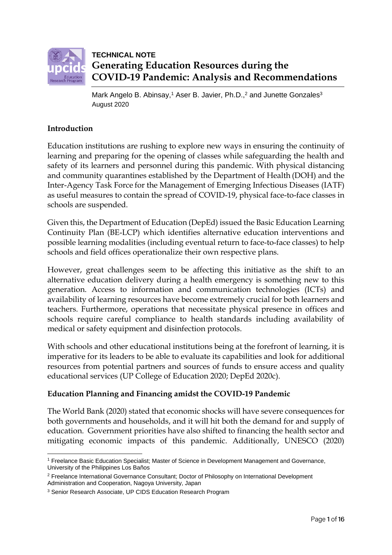

# **TECHNICAL NOTE Generating Education Resources during the COVID-19 Pandemic: Analysis and Recommendations**

Mark Angelo B. Abinsay,<sup>1</sup> Aser B. Javier, Ph.D.,<sup>2</sup> and Junette Gonzales<sup>3</sup> August 2020

### **Introduction**

Education institutions are rushing to explore new ways in ensuring the continuity of learning and preparing for the opening of classes while safeguarding the health and safety of its learners and personnel during this pandemic. With physical distancing and community quarantines established by the Department of Health (DOH) and the Inter-Agency Task Force for the Management of Emerging Infectious Diseases (IATF) as useful measures to contain the spread of COVID-19, physical face-to-face classes in schools are suspended.

Given this, the Department of Education (DepEd) issued the Basic Education Learning Continuity Plan (BE-LCP) which identifies alternative education interventions and possible learning modalities (including eventual return to face-to-face classes) to help schools and field offices operationalize their own respective plans.

However, great challenges seem to be affecting this initiative as the shift to an alternative education delivery during a health emergency is something new to this generation. Access to information and communication technologies (ICTs) and availability of learning resources have become extremely crucial for both learners and teachers. Furthermore, operations that necessitate physical presence in offices and schools require careful compliance to health standards including availability of medical or safety equipment and disinfection protocols.

With schools and other educational institutions being at the forefront of learning, it is imperative for its leaders to be able to evaluate its capabilities and look for additional resources from potential partners and sources of funds to ensure access and quality educational services (UP College of Education 2020; DepEd 2020c).

## **Education Planning and Financing amidst the COVID-19 Pandemic**

The World Bank (2020) stated that economic shocks will have severe consequences for both governments and households, and it will hit both the demand for and supply of education. Government priorities have also shifted to financing the health sector and mitigating economic impacts of this pandemic. Additionally, UNESCO (2020)

 $\overline{\phantom{a}}$ <sup>1</sup> Freelance Basic Education Specialist; Master of Science in Development Management and Governance, University of the Philippines Los Baños

<sup>2</sup> Freelance International Governance Consultant; Doctor of Philosophy on International Development Administration and Cooperation, Nagoya University, Japan

<sup>3</sup> Senior Research Associate, UP CIDS Education Research Program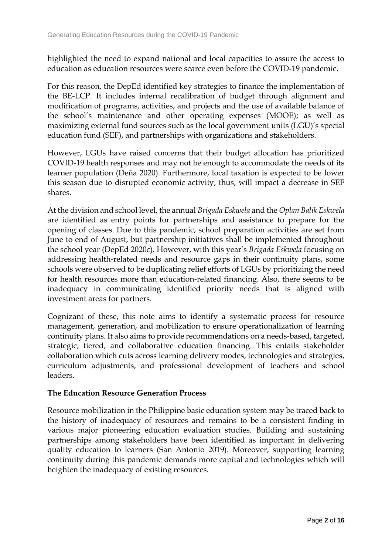highlighted the need to expand national and local capacities to assure the access to education as education resources were scarce even before the COVID-19 pandemic.

For this reason, the DepEd identified key strategies to finance the implementation of the BE-LCP. It includes internal recalibration of budget through alignment and modification of programs, activities, and projects and the use of available balance of the school's maintenance and other operating expenses (MOOE); as well as maximizing external fund sources such as the local government units (LGU)'s special education fund (SEF), and partnerships with organizations and stakeholders.

However, LGUs have raised concerns that their budget allocation has prioritized COVID-19 health responses and may not be enough to accommodate the needs of its learner population (Deña 2020). Furthermore, local taxation is expected to be lower this season due to disrupted economic activity, thus, will impact a decrease in SEF shares.

At the division and school level, the annual *Brigada Eskwela* and the *Oplan Balik Eskwela* are identified as entry points for partnerships and assistance to prepare for the opening of classes. Due to this pandemic, school preparation activities are set from June to end of August, but partnership initiatives shall be implemented throughout the school year (DepEd 2020c). However, with this year's *Brigada Eskwela* focusing on addressing health-related needs and resource gaps in their continuity plans, some schools were observed to be duplicating relief efforts of LGUs by prioritizing the need for health resources more than education-related financing. Also, there seems to be inadequacy in communicating identified priority needs that is aligned with investment areas for partners.

Cognizant of these, this note aims to identify a systematic process for resource management, generation, and mobilization to ensure operationalization of learning continuity plans. It also aims to provide recommendations on a needs-based, targeted, strategic, tiered, and collaborative education financing. This entails stakeholder collaboration which cuts across learning delivery modes, technologies and strategies, curriculum adjustments, and professional development of teachers and school leaders.

#### **The Education Resource Generation Process**

Resource mobilization in the Philippine basic education system may be traced back to the history of inadequacy of resources and remains to be a consistent finding in various major pioneering education evaluation studies. Building and sustaining partnerships among stakeholders have been identified as important in delivering quality education to learners (San Antonio 2019). Moreover, supporting learning continuity during this pandemic demands more capital and technologies which will heighten the inadequacy of existing resources.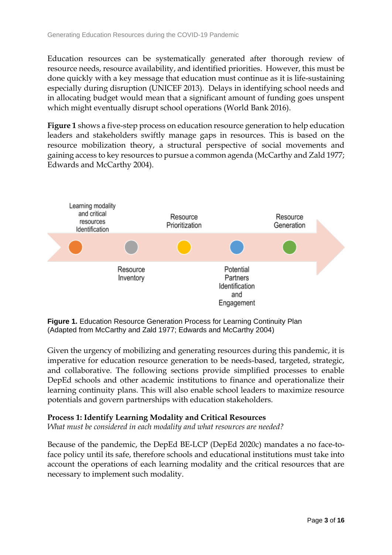Education resources can be systematically generated after thorough review of resource needs, resource availability, and identified priorities. However, this must be done quickly with a key message that education must continue as it is life-sustaining especially during disruption (UNICEF 2013). Delays in identifying school needs and in allocating budget would mean that a significant amount of funding goes unspent which might eventually disrupt school operations (World Bank 2016).

**Figure 1** shows a five-step process on education resource generation to help education leaders and stakeholders swiftly manage gaps in resources. This is based on the resource mobilization theory, a structural perspective of social movements and gaining access to key resources to pursue a common agenda (McCarthy and Zald 1977; Edwards and McCarthy 2004).



**Figure 1.** Education Resource Generation Process for Learning Continuity Plan (Adapted from McCarthy and Zald 1977; Edwards and McCarthy 2004)

Given the urgency of mobilizing and generating resources during this pandemic, it is imperative for education resource generation to be needs-based, targeted, strategic, and collaborative. The following sections provide simplified processes to enable DepEd schools and other academic institutions to finance and operationalize their learning continuity plans. This will also enable school leaders to maximize resource potentials and govern partnerships with education stakeholders.

#### **Process 1: Identify Learning Modality and Critical Resources**

*What must be considered in each modality and what resources are needed?*

Because of the pandemic, the DepEd BE-LCP (DepEd 2020c) mandates a no face-toface policy until its safe, therefore schools and educational institutions must take into account the operations of each learning modality and the critical resources that are necessary to implement such modality.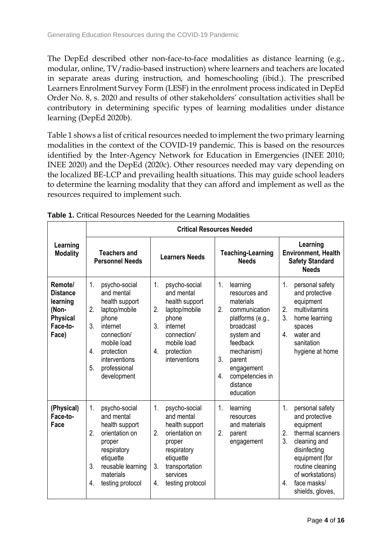The DepEd described other non-face-to-face modalities as distance learning (e.g., modular, online, TV/radio-based instruction) where learners and teachers are located in separate areas during instruction, and homeschooling (ibid.). The prescribed Learners Enrolment Survey Form (LESF) in the enrolment process indicated in DepEd Order No. 8, s. 2020 and results of other stakeholders' consultation activities shall be contributory in determining specific types of learning modalities under distance learning (DepEd 2020b).

Table 1 shows a list of critical resources needed to implement the two primary learning modalities in the context of the COVID-19 pandemic. This is based on the resources identified by the Inter-Agency Network for Education in Emergencies (INEE 2010; INEE 2020) and the DepEd (2020c). Other resources needed may vary depending on the localized BE-LCP and prevailing health situations. This may guide school leaders to determine the learning modality that they can afford and implement as well as the resources required to implement such.

|                                                                                         | <b>Critical Resources Needed</b>                                                                                                                                                                              |                                                                                                                                                                                 |                                                                                                                                                                                                                              |                                                                                                                                                                                                                                       |  |  |
|-----------------------------------------------------------------------------------------|---------------------------------------------------------------------------------------------------------------------------------------------------------------------------------------------------------------|---------------------------------------------------------------------------------------------------------------------------------------------------------------------------------|------------------------------------------------------------------------------------------------------------------------------------------------------------------------------------------------------------------------------|---------------------------------------------------------------------------------------------------------------------------------------------------------------------------------------------------------------------------------------|--|--|
| Learning<br><b>Modality</b>                                                             | <b>Teachers and</b><br><b>Personnel Needs</b>                                                                                                                                                                 | <b>Learners Needs</b>                                                                                                                                                           | <b>Teaching-Learning</b><br><b>Needs</b>                                                                                                                                                                                     | Learning<br><b>Environment, Health</b><br><b>Safety Standard</b><br><b>Needs</b>                                                                                                                                                      |  |  |
| Remote/<br><b>Distance</b><br>learning<br>(Non-<br><b>Physical</b><br>Face-to-<br>Face) | 1.<br>psycho-social<br>and mental<br>health support<br>2.<br>laptop/mobile<br>phone<br>3.<br>internet<br>connection/<br>mobile load<br>4.<br>protection<br>interventions<br>5.<br>professional<br>development | 1.<br>psycho-social<br>and mental<br>health support<br>2.<br>laptop/mobile<br>phone<br>3.<br>internet<br>connection/<br>mobile load<br>4.<br>protection<br>interventions        | 1.<br>learning<br>resources and<br>materials<br>2.<br>communication<br>platforms (e.g.,<br>broadcast<br>system and<br>feedback<br>mechanism)<br>3.<br>parent<br>engagement<br>competencies in<br>4.<br>distance<br>education | 1.<br>personal safety<br>and protective<br>equipment<br>2.<br>multivitamins<br>3.<br>home learning<br>spaces<br>water and<br>$\overline{4}$ .<br>sanitation<br>hygiene at home                                                        |  |  |
| (Physical)<br>Face-to-<br>Face                                                          | 1.<br>psycho-social<br>and mental<br>health support<br>2.<br>orientation on<br>proper<br>respiratory<br>etiquette<br>3.<br>reusable learning<br>materials<br>4.<br>testing protocol                           | 1.<br>psycho-social<br>and mental<br>health support<br>2.<br>orientation on<br>proper<br>respiratory<br>etiquette<br>3.<br>transportation<br>services<br>4.<br>testing protocol | 1.<br>learning<br>resources<br>and materials<br>2.<br>parent<br>engagement                                                                                                                                                   | 1.<br>personal safety<br>and protective<br>equipment<br>2.<br>thermal scanners<br>3.<br>cleaning and<br>disinfecting<br>equipment (for<br>routine cleaning<br>of workstations)<br>face masks/<br>$\overline{4}$ .<br>shields, gloves, |  |  |

**Table 1.** Critical Resources Needed for the Learning Modalities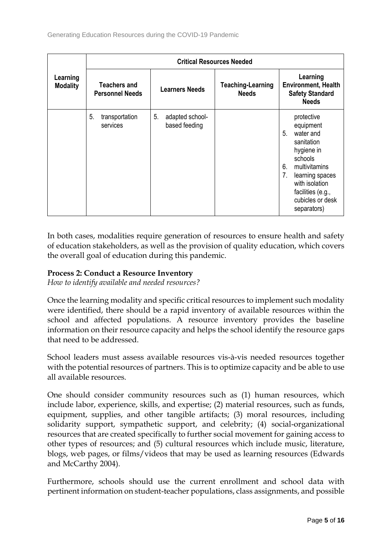|                             | <b>Critical Resources Needed</b>              |                                        |                                          |                                                                                                                                                                                                             |  |  |
|-----------------------------|-----------------------------------------------|----------------------------------------|------------------------------------------|-------------------------------------------------------------------------------------------------------------------------------------------------------------------------------------------------------------|--|--|
| Learning<br><b>Modality</b> | <b>Teachers and</b><br><b>Personnel Needs</b> | <b>Learners Needs</b>                  | <b>Teaching-Learning</b><br><b>Needs</b> | Learning<br><b>Environment, Health</b><br><b>Safety Standard</b><br><b>Needs</b>                                                                                                                            |  |  |
|                             | 5.<br>transportation<br>services              | 5.<br>adapted school-<br>based feeding |                                          | protective<br>equipment<br>water and<br>5.<br>sanitation<br>hygiene in<br>schools<br>multivitamins<br>6.<br>7.<br>learning spaces<br>with isolation<br>facilities (e.g.,<br>cubicles or desk<br>separators) |  |  |

In both cases, modalities require generation of resources to ensure health and safety of education stakeholders, as well as the provision of quality education, which covers the overall goal of education during this pandemic.

#### **Process 2: Conduct a Resource Inventory**

*How to identify available and needed resources?*

Once the learning modality and specific critical resources to implement such modality were identified, there should be a rapid inventory of available resources within the school and affected populations. A resource inventory provides the baseline information on their resource capacity and helps the school identify the resource gaps that need to be addressed.

School leaders must assess available resources vis-à-vis needed resources together with the potential resources of partners. This is to optimize capacity and be able to use all available resources.

One should consider community resources such as (1) human resources, which include labor, experience, skills, and expertise; (2) material resources, such as funds, equipment, supplies, and other tangible artifacts; (3) moral resources, including solidarity support, sympathetic support, and celebrity; (4) social-organizational resources that are created specifically to further social movement for gaining access to other types of resources; and (5) cultural resources which include music, literature, blogs, web pages, or films/videos that may be used as learning resources (Edwards and McCarthy 2004).

Furthermore, schools should use the current enrollment and school data with pertinent information on student-teacher populations, class assignments, and possible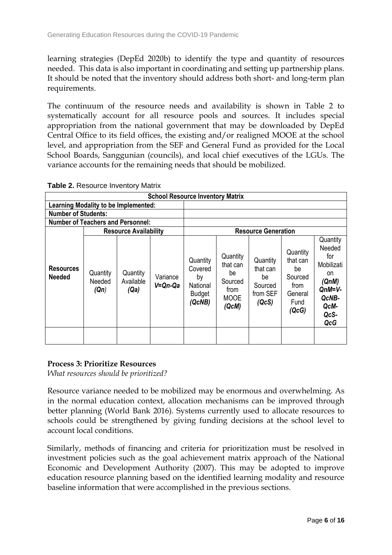learning strategies (DepEd 2020b) to identify the type and quantity of resources needed. This data is also important in coordinating and setting up partnership plans. It should be noted that the inventory should address both short- and long-term plan requirements.

The continuum of the resource needs and availability is shown in Table 2 to systematically account for all resource pools and sources. It includes special appropriation from the national government that may be downloaded by DepEd Central Office to its field offices, the existing and/or realigned MOOE at the school level, and appropriation from the SEF and General Fund as provided for the Local School Boards, Sanggunian (councils), and local chief executives of the LGUs. The variance accounts for the remaining needs that should be mobilized.

| <b>School Resource Inventory Matrix</b>  |                            |                               |                           |                                                                  |                                                                       |                                                            |                                                                           |                                                                                                           |
|------------------------------------------|----------------------------|-------------------------------|---------------------------|------------------------------------------------------------------|-----------------------------------------------------------------------|------------------------------------------------------------|---------------------------------------------------------------------------|-----------------------------------------------------------------------------------------------------------|
| Learning Modality to be Implemented:     |                            |                               |                           |                                                                  |                                                                       |                                                            |                                                                           |                                                                                                           |
| <b>Number of Students:</b>               |                            |                               |                           |                                                                  |                                                                       |                                                            |                                                                           |                                                                                                           |
| <b>Number of Teachers and Personnel:</b> |                            |                               |                           |                                                                  |                                                                       |                                                            |                                                                           |                                                                                                           |
|                                          |                            | <b>Resource Availability</b>  |                           |                                                                  |                                                                       | <b>Resource Generation</b>                                 |                                                                           |                                                                                                           |
| <b>Resources</b><br><b>Needed</b>        | Quantity<br>Needed<br>(Qn) | Quantity<br>Available<br>(Qa) | Variance<br>$V = Qn - Qa$ | Quantity<br>Covered<br>by<br>National<br><b>Budget</b><br>(QcNB) | Quantity<br>that can<br>be<br>Sourced<br>from<br><b>MOOE</b><br>(QcM) | Quantity<br>that can<br>be<br>Sourced<br>from SEF<br>(QcS) | Quantity<br>that can<br>be<br>Sourced<br>from<br>General<br>Fund<br>(QcG) | Quantity<br>Needed<br>for<br>Mobilizati<br>on<br>(QnM)<br>$QnM=V-$<br>QcNB-<br>QcM-<br>QcS-<br><b>QcG</b> |

| Table 2. Resource Inventory Matrix |  |
|------------------------------------|--|
|------------------------------------|--|

#### **Process 3: Prioritize Resources**

*What resources should be prioritized?*

Resource variance needed to be mobilized may be enormous and overwhelming. As in the normal education context, allocation mechanisms can be improved through better planning (World Bank 2016). Systems currently used to allocate resources to schools could be strengthened by giving funding decisions at the school level to account local conditions.

Similarly, methods of financing and criteria for prioritization must be resolved in investment policies such as the goal achievement matrix approach of the National Economic and Development Authority (2007). This may be adopted to improve education resource planning based on the identified learning modality and resource baseline information that were accomplished in the previous sections.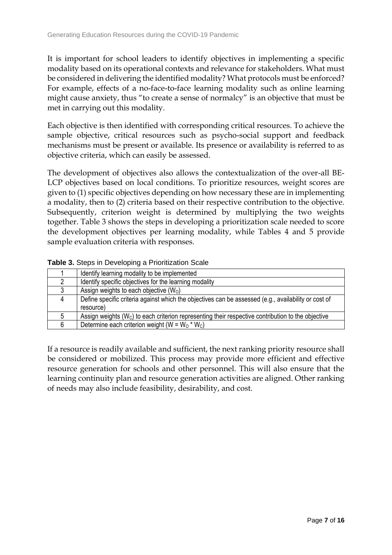It is important for school leaders to identify objectives in implementing a specific modality based on its operational contexts and relevance for stakeholders. What must be considered in delivering the identified modality? What protocols must be enforced? For example, effects of a no-face-to-face learning modality such as online learning might cause anxiety, thus "to create a sense of normalcy" is an objective that must be met in carrying out this modality.

Each objective is then identified with corresponding critical resources. To achieve the sample objective, critical resources such as psycho-social support and feedback mechanisms must be present or available. Its presence or availability is referred to as objective criteria, which can easily be assessed.

The development of objectives also allows the contextualization of the over-all BE-LCP objectives based on local conditions. To prioritize resources, weight scores are given to (1) specific objectives depending on how necessary these are in implementing a modality, then to (2) criteria based on their respective contribution to the objective. Subsequently, criterion weight is determined by multiplying the two weights together. Table 3 shows the steps in developing a prioritization scale needed to score the development objectives per learning modality, while Tables 4 and 5 provide sample evaluation criteria with responses.

|   | Identify learning modality to be implemented                                                         |
|---|------------------------------------------------------------------------------------------------------|
|   | Identify specific objectives for the learning modality                                               |
| 3 | Assign weights to each objective $(WO)$                                                              |
| 4 | Define specific criteria against which the objectives can be assessed (e.g., availability or cost of |
|   | resource)                                                                                            |
| 5 | Assign weights $(Wc)$ to each criterion representing their respective contribution to the objective  |
| 6 | Determine each criterion weight (W = $W_0$ <sup>*</sup> W <sub>c</sub> )                             |

#### **Table 3.** Steps in Developing a Prioritization Scale

If a resource is readily available and sufficient, the next ranking priority resource shall be considered or mobilized. This process may provide more efficient and effective resource generation for schools and other personnel. This will also ensure that the learning continuity plan and resource generation activities are aligned. Other ranking of needs may also include feasibility, desirability, and cost.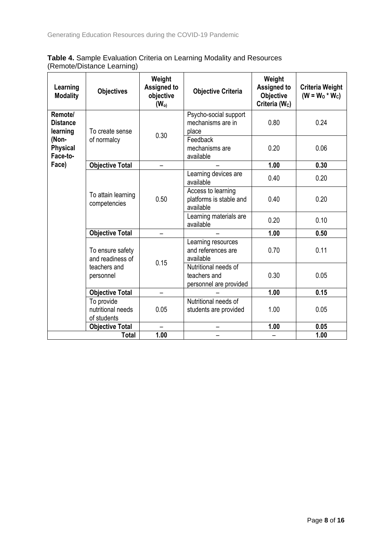| Learning<br><b>Modality</b>            | <b>Objectives</b>                                                 | Weight<br><b>Assigned to</b><br>objective<br>(W <sub>o</sub> ) | <b>Objective Criteria</b>                                      | Weight<br><b>Assigned to</b><br>Objective<br>Criteria (Wc) | <b>Criteria Weight</b><br>$(W = W_0 * W_c)$ |
|----------------------------------------|-------------------------------------------------------------------|----------------------------------------------------------------|----------------------------------------------------------------|------------------------------------------------------------|---------------------------------------------|
| Remote/<br><b>Distance</b><br>learning | To create sense                                                   | 0.30                                                           | Psycho-social support<br>mechanisms are in<br>place            | 0.80                                                       | 0.24                                        |
| (Non-<br><b>Physical</b><br>Face-to-   | of normalcy                                                       |                                                                | Feedback<br>mechanisms are<br>available                        | 0.20                                                       | 0.06                                        |
| Face)                                  | <b>Objective Total</b>                                            | $\overline{\phantom{0}}$                                       |                                                                | 1.00                                                       | 0.30                                        |
|                                        | To attain learning<br>competencies                                | 0.50                                                           | Learning devices are<br>available                              | 0.40                                                       | 0.20                                        |
|                                        |                                                                   |                                                                | Access to learning<br>platforms is stable and<br>available     | 0.40                                                       | 0.20                                        |
|                                        |                                                                   |                                                                | Learning materials are<br>available                            | 0.20                                                       | 0.10                                        |
|                                        | <b>Objective Total</b>                                            | $\overline{\phantom{0}}$                                       |                                                                | 1.00                                                       | 0.50                                        |
|                                        | To ensure safety<br>and readiness of<br>teachers and<br>personnel | 0.15                                                           | Learning resources<br>and references are<br>available          | 0.70                                                       | 0.11                                        |
|                                        |                                                                   |                                                                | Nutritional needs of<br>teachers and<br>personnel are provided | 0.30                                                       | 0.05                                        |
|                                        | <b>Objective Total</b>                                            |                                                                |                                                                | 1.00                                                       | 0.15                                        |
|                                        | To provide<br>nutritional needs<br>of students                    | 0.05                                                           | Nutritional needs of<br>students are provided                  | 1.00                                                       | 0.05                                        |
|                                        | <b>Objective Total</b>                                            |                                                                |                                                                | 1.00                                                       | 0.05                                        |
|                                        | <b>Total</b>                                                      | 1.00                                                           |                                                                |                                                            | 1.00                                        |

**Table 4.** Sample Evaluation Criteria on Learning Modality and Resources (Remote/Distance Learning)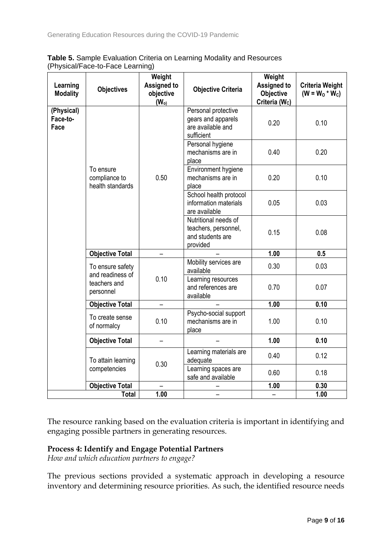| Learning<br><b>Modality</b>    | <b>Objectives</b>                                                 | Weight<br><b>Assigned to</b><br>objective<br>(W <sub>o</sub> ) | <b>Objective Criteria</b>                                                    | Weight<br><b>Assigned to</b><br>Objective<br>Criteria (Wc) | <b>Criteria Weight</b><br>$(W = W_0 * W_c)$ |
|--------------------------------|-------------------------------------------------------------------|----------------------------------------------------------------|------------------------------------------------------------------------------|------------------------------------------------------------|---------------------------------------------|
| (Physical)<br>Face-to-<br>Face |                                                                   |                                                                | Personal protective<br>gears and apparels<br>are available and<br>sufficient | 0.20                                                       | 0.10                                        |
|                                |                                                                   | 0.50                                                           | Personal hygiene<br>mechanisms are in<br>place                               | 0.40                                                       | 0.20                                        |
|                                | To ensure<br>compliance to<br>health standards                    |                                                                | Environment hygiene<br>mechanisms are in<br>place                            | 0.20                                                       | 0.10                                        |
|                                |                                                                   |                                                                | School health protocol<br>information materials<br>are available             | 0.05                                                       | 0.03                                        |
|                                |                                                                   |                                                                | Nutritional needs of<br>teachers, personnel,<br>and students are<br>provided | 0.15                                                       | 0.08                                        |
|                                | <b>Objective Total</b>                                            |                                                                |                                                                              | 1.00                                                       | 0.5                                         |
|                                | To ensure safety<br>and readiness of<br>teachers and<br>personnel | 0.10                                                           | Mobility services are<br>available                                           | 0.30                                                       | 0.03                                        |
|                                |                                                                   |                                                                | Learning resources<br>and references are<br>available                        | 0.70                                                       | 0.07                                        |
|                                | <b>Objective Total</b>                                            | -                                                              |                                                                              | 1.00                                                       | 0.10                                        |
|                                | To create sense<br>of normalcy                                    | 0.10                                                           | Psycho-social support<br>mechanisms are in<br>place                          | 1.00                                                       | 0.10                                        |
|                                | <b>Objective Total</b>                                            |                                                                |                                                                              | 1.00                                                       | 0.10                                        |
|                                | To attain learning<br>competencies                                | 0.30                                                           | Learning materials are<br>adequate                                           | 0.40                                                       | 0.12                                        |
|                                |                                                                   |                                                                | Learning spaces are<br>safe and available                                    | 0.60                                                       | 0.18                                        |
|                                | <b>Objective Total</b>                                            |                                                                |                                                                              | 1.00                                                       | 0.30                                        |
|                                | <b>Total</b>                                                      | 1.00                                                           |                                                                              |                                                            | 1.00                                        |

**Table 5.** Sample Evaluation Criteria on Learning Modality and Resources (Physical/Face-to-Face Learning)

The resource ranking based on the evaluation criteria is important in identifying and engaging possible partners in generating resources.

#### **Process 4: Identify and Engage Potential Partners**

*How and which education partners to engage?*

The previous sections provided a systematic approach in developing a resource inventory and determining resource priorities. As such, the identified resource needs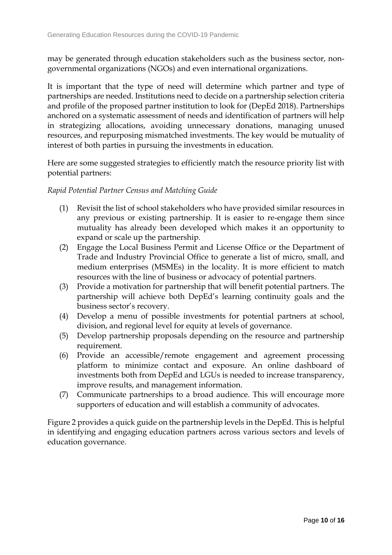may be generated through education stakeholders such as the business sector, nongovernmental organizations (NGOs) and even international organizations.

It is important that the type of need will determine which partner and type of partnerships are needed. Institutions need to decide on a partnership selection criteria and profile of the proposed partner institution to look for (DepEd 2018). Partnerships anchored on a systematic assessment of needs and identification of partners will help in strategizing allocations, avoiding unnecessary donations, managing unused resources, and repurposing mismatched investments. The key would be mutuality of interest of both parties in pursuing the investments in education.

Here are some suggested strategies to efficiently match the resource priority list with potential partners:

#### *Rapid Potential Partner Census and Matching Guide*

- (1) Revisit the list of school stakeholders who have provided similar resources in any previous or existing partnership. It is easier to re-engage them since mutuality has already been developed which makes it an opportunity to expand or scale up the partnership.
- (2) Engage the Local Business Permit and License Office or the Department of Trade and Industry Provincial Office to generate a list of micro, small, and medium enterprises (MSMEs) in the locality. It is more efficient to match resources with the line of business or advocacy of potential partners.
- (3) Provide a motivation for partnership that will benefit potential partners. The partnership will achieve both DepEd's learning continuity goals and the business sector's recovery.
- (4) Develop a menu of possible investments for potential partners at school, division, and regional level for equity at levels of governance.
- (5) Develop partnership proposals depending on the resource and partnership requirement.
- (6) Provide an accessible/remote engagement and agreement processing platform to minimize contact and exposure. An online dashboard of investments both from DepEd and LGUs is needed to increase transparency, improve results, and management information.
- (7) Communicate partnerships to a broad audience. This will encourage more supporters of education and will establish a community of advocates.

Figure 2 provides a quick guide on the partnership levels in the DepEd. This is helpful in identifying and engaging education partners across various sectors and levels of education governance.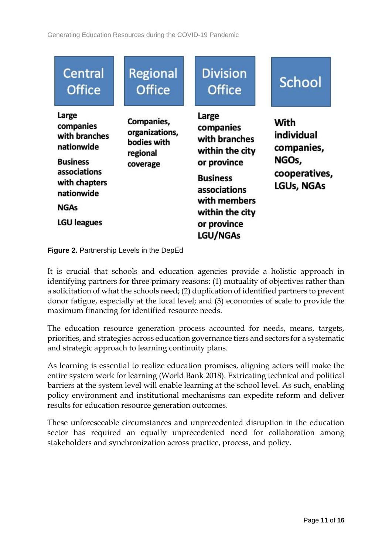| <b>Central</b>                                                                                                                                           | Regional                                                            | <b>Division</b>                                                                                                                                                               | <b>School</b>                                                                   |
|----------------------------------------------------------------------------------------------------------------------------------------------------------|---------------------------------------------------------------------|-------------------------------------------------------------------------------------------------------------------------------------------------------------------------------|---------------------------------------------------------------------------------|
| <b>Office</b>                                                                                                                                            | <b>Office</b>                                                       | <b>Office</b>                                                                                                                                                                 |                                                                                 |
| Large<br>companies<br>with branches<br>nationwide<br><b>Business</b><br>associations<br>with chapters<br>nationwide<br><b>NGAs</b><br><b>LGU leagues</b> | Companies,<br>organizations,<br>bodies with<br>regional<br>coverage | Large<br>companies<br>with branches<br>within the city<br>or province<br><b>Business</b><br>associations<br>with members<br>within the city<br>or province<br><b>LGU/NGAs</b> | With<br>individual<br>companies,<br>NGOs,<br>cooperatives,<br><b>LGUs, NGAs</b> |

**Figure 2.** Partnership Levels in the DepEd

It is crucial that schools and education agencies provide a holistic approach in identifying partners for three primary reasons: (1) mutuality of objectives rather than a solicitation of what the schools need; (2) duplication of identified partners to prevent donor fatigue, especially at the local level; and (3) economies of scale to provide the maximum financing for identified resource needs.

The education resource generation process accounted for needs, means, targets, priorities, and strategies across education governance tiers and sectors for a systematic and strategic approach to learning continuity plans.

As learning is essential to realize education promises, aligning actors will make the entire system work for learning (World Bank 2018). Extricating technical and political barriers at the system level will enable learning at the school level. As such, enabling policy environment and institutional mechanisms can expedite reform and deliver results for education resource generation outcomes.

These unforeseeable circumstances and unprecedented disruption in the education sector has required an equally unprecedented need for collaboration among stakeholders and synchronization across practice, process, and policy.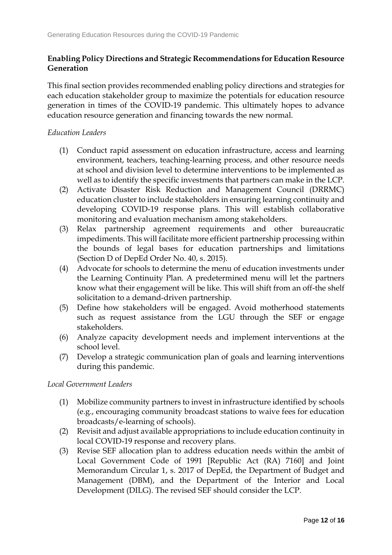## **Enabling Policy Directions and Strategic Recommendations for Education Resource Generation**

This final section provides recommended enabling policy directions and strategies for each education stakeholder group to maximize the potentials for education resource generation in times of the COVID-19 pandemic. This ultimately hopes to advance education resource generation and financing towards the new normal.

#### *Education Leaders*

- (1) Conduct rapid assessment on education infrastructure, access and learning environment, teachers, teaching-learning process, and other resource needs at school and division level to determine interventions to be implemented as well as to identify the specific investments that partners can make in the LCP.
- (2) Activate Disaster Risk Reduction and Management Council (DRRMC) education cluster to include stakeholders in ensuring learning continuity and developing COVID-19 response plans. This will establish collaborative monitoring and evaluation mechanism among stakeholders.
- (3) Relax partnership agreement requirements and other bureaucratic impediments. This will facilitate more efficient partnership processing within the bounds of legal bases for education partnerships and limitations (Section D of DepEd Order No. 40, s. 2015).
- (4) Advocate for schools to determine the menu of education investments under the Learning Continuity Plan. A predetermined menu will let the partners know what their engagement will be like. This will shift from an off-the shelf solicitation to a demand-driven partnership.
- (5) Define how stakeholders will be engaged. Avoid motherhood statements such as request assistance from the LGU through the SEF or engage stakeholders.
- (6) Analyze capacity development needs and implement interventions at the school level.
- (7) Develop a strategic communication plan of goals and learning interventions during this pandemic.

#### *Local Government Leaders*

- (1) Mobilize community partners to invest in infrastructure identified by schools (e.g., encouraging community broadcast stations to waive fees for education broadcasts/e-learning of schools).
- (2) Revisit and adjust available appropriations to include education continuity in local COVID-19 response and recovery plans.
- (3) Revise SEF allocation plan to address education needs within the ambit of Local Government Code of 1991 [Republic Act (RA) 7160] and Joint Memorandum Circular 1, s. 2017 of DepEd, the Department of Budget and Management (DBM), and the Department of the Interior and Local Development (DILG). The revised SEF should consider the LCP.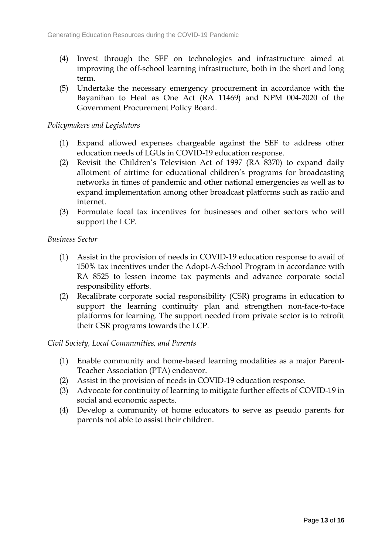- (4) Invest through the SEF on technologies and infrastructure aimed at improving the off-school learning infrastructure, both in the short and long term.
- (5) Undertake the necessary emergency procurement in accordance with the Bayanihan to Heal as One Act (RA 11469) and NPM 004-2020 of the Government Procurement Policy Board.

### *Policymakers and Legislators*

- (1) Expand allowed expenses chargeable against the SEF to address other education needs of LGUs in COVID-19 education response.
- (2) Revisit the Children's Television Act of 1997 (RA 8370) to expand daily allotment of airtime for educational children's programs for broadcasting networks in times of pandemic and other national emergencies as well as to expand implementation among other broadcast platforms such as radio and internet.
- (3) Formulate local tax incentives for businesses and other sectors who will support the LCP.

#### *Business Sector*

- (1) Assist in the provision of needs in COVID-19 education response to avail of 150% tax incentives under the Adopt-A-School Program in accordance with RA 8525 to lessen income tax payments and advance corporate social responsibility efforts.
- (2) Recalibrate corporate social responsibility (CSR) programs in education to support the learning continuity plan and strengthen non-face-to-face platforms for learning. The support needed from private sector is to retrofit their CSR programs towards the LCP.

*Civil Society, Local Communities, and Parents*

- (1) Enable community and home-based learning modalities as a major Parent-Teacher Association (PTA) endeavor.
- (2) Assist in the provision of needs in COVID-19 education response.
- (3) Advocate for continuity of learning to mitigate further effects of COVID-19 in social and economic aspects.
- (4) Develop a community of home educators to serve as pseudo parents for parents not able to assist their children.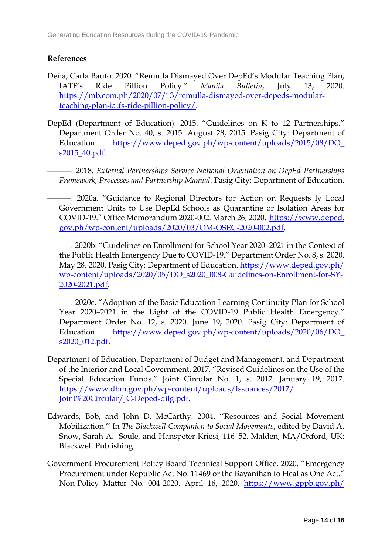## **References**

- Deña, Carla Bauto. 2020. "Remulla Dismayed Over DepEd's Modular Teaching Plan, IATF's Ride Pillion Policy." *Manila Bulletin*, July 13, 2020. [https://mb.com.ph/2020/07/13/remulla-dismayed-over-depeds-modular](https://mb.com.ph/2020/07/13/remulla-dismayed-over-depeds-modular-teaching-plan-iatfs-ride-pillion-policy/)[teaching-plan-iatfs-ride-pillion-policy/.](https://mb.com.ph/2020/07/13/remulla-dismayed-over-depeds-modular-teaching-plan-iatfs-ride-pillion-policy/)
- DepEd (Department of Education). 2015. "Guidelines on K to 12 Partnerships." Department Order No. 40, s. 2015. August 28, 2015. Pasig City: Department of Education. [https://www.deped.gov.ph/wp-content/uploads/2015/08/DO\\_](https://www.deped.gov.ph/wp-content/uploads/2015/08/DO_s2015_40.pdf) [s2015\\_40.pdf.](https://www.deped.gov.ph/wp-content/uploads/2015/08/DO_s2015_40.pdf)

———. 2018. *External Partnerships Service National Orientation on DepEd Partnerships Framework, Processes and Partnership Manual*. Pasig City: Department of Education.

- ———. 2020a. "Guidance to Regional Directors for Action on Requests ly Local Government Units to Use DepEd Schools as Quarantine or Isolation Areas for COVID-19." Office Memorandum 2020-002. March 26, 2020. [https://www.deped.](https://www.deped.gov.ph/wp-content/uploads/2020/03/OM-OSEC-2020-002.pdf) [gov.ph/wp-content/uploads/2020/03/OM-OSEC-2020-002.pdf.](https://www.deped.gov.ph/wp-content/uploads/2020/03/OM-OSEC-2020-002.pdf)
- ———. 2020b. "Guidelines on Enrollment for School Year 2020–2021 in the Context of the Public Health Emergency Due to COVID-19." Department Order No. 8, s. 2020. May 28, 2020. Pasig City: Department of Education. [https://www.deped.gov.ph/](https://www.deped.gov.ph/wp-content/uploads/2020/05/DO_s2020_008-Guidelines-on-Enrollment-for-SY-2020-2021.pdf) [wp-content/uploads/2020/05/DO\\_s2020\\_008-Guidelines-on-Enrollment-for-SY-](https://www.deped.gov.ph/wp-content/uploads/2020/05/DO_s2020_008-Guidelines-on-Enrollment-for-SY-2020-2021.pdf)[2020-2021.pdf.](https://www.deped.gov.ph/wp-content/uploads/2020/05/DO_s2020_008-Guidelines-on-Enrollment-for-SY-2020-2021.pdf)
- ———. 2020c. "Adoption of the Basic Education Learning Continuity Plan for School Year 2020–2021 in the Light of the COVID-19 Public Health Emergency." Department Order No. 12, s. 2020. June 19, 2020. Pasig City: Department of Education. [https://www.deped.gov.ph/wp-content/uploads/2020/06/DO\\_](https://www.deped.gov.ph/wp-content/uploads/2020/06/DO_s2020_012.pdf) [s2020\\_012.pdf.](https://www.deped.gov.ph/wp-content/uploads/2020/06/DO_s2020_012.pdf)
- Department of Education, Department of Budget and Management, and Department of the Interior and Local Government. 2017. "Revised Guidelines on the Use of the Special Education Funds." Joint Circular No. 1, s. 2017. January 19, 2017. [https://www.dbm.gov.ph/wp-content/uploads/Issuances/2017/](https://www.dbm.gov.ph/wp-content/uploads/Issuances/2017/Joint%20Circular/JC-Deped-dilg.pdf) [Joint%20Circular/JC-Deped-dilg.pdf.](https://www.dbm.gov.ph/wp-content/uploads/Issuances/2017/Joint%20Circular/JC-Deped-dilg.pdf)
- Edwards, Bob, and John D. McCarthy. 2004. ''Resources and Social Movement Mobilization.'' In *The Blackwell Companion to Social Movements*, edited by David A. Snow, Sarah A. Soule, and Hanspeter Kriesi, 116–52. Malden, MA/Oxford, UK: Blackwell Publishing.
- Government Procurement Policy Board Technical Support Office. 2020. "Emergency Procurement under Republic Act No. 11469 or the Bayanihan to Heal as One Act." Non-Policy Matter No. 004-2020. April 16, 2020. [https://www.gppb.gov.ph/](https://www.gppb.gov.ph/assets/pdfs/NPM%20004-2020_Emergency%20Procurement%20under%20Bayanihan%20Act.pdf)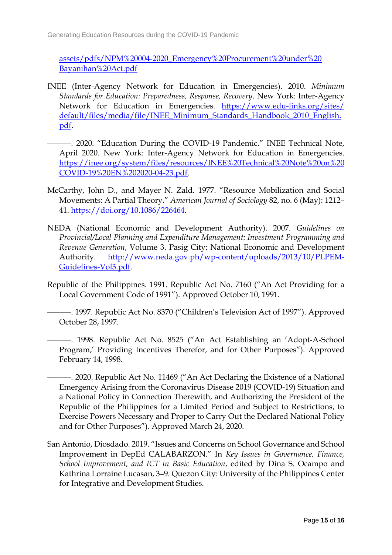[assets/pdfs/NPM%20004-2020\\_Emergency%20Procurement%20under%20](https://www.gppb.gov.ph/assets/pdfs/NPM%20004-2020_Emergency%20Procurement%20under%20Bayanihan%20Act.pdf) [Bayanihan%20Act.pdf](https://www.gppb.gov.ph/assets/pdfs/NPM%20004-2020_Emergency%20Procurement%20under%20Bayanihan%20Act.pdf)

- INEE (Inter-Agency Network for Education in Emergencies). 2010. *Minimum Standards for Education: Preparedness, Response, Recovery*. New York: Inter-Agency Network for Education in Emergencies. [https://www.edu-links.org/sites/](https://www.edu-links.org/sites/default/files/media/file/INEE_Minimum_Standards_Handbook_2010_English.pdf) [default/files/media/file/INEE\\_Minimum\\_Standards\\_Handbook\\_2010\\_English.](https://www.edu-links.org/sites/default/files/media/file/INEE_Minimum_Standards_Handbook_2010_English.pdf) [pdf.](https://www.edu-links.org/sites/default/files/media/file/INEE_Minimum_Standards_Handbook_2010_English.pdf)
	- ———. 2020. "Education During the COVID-19 Pandemic." INEE Technical Note, April 2020. New York: Inter-Agency Network for Education in Emergencies. [https://inee.org/system/files/resources/INEE%20Technical%20Note%20on%20](https://inee.org/system/files/resources/INEE%20Technical%20Note%20on%20COVID-19%20EN%202020-04-23.pdf) [COVID-19%20EN%202020-04-23.pdf.](https://inee.org/system/files/resources/INEE%20Technical%20Note%20on%20COVID-19%20EN%202020-04-23.pdf)
- McCarthy, John D., and Mayer N. Zald. 1977. "Resource Mobilization and Social Movements: A Partial Theory." *American Journal of Sociology* 82, no. 6 (May): 1212– 41. [https://doi.org/10.1086/226464.](https://doi.org/10.1086/226464)
- NEDA (National Economic and Development Authority). 2007. *Guidelines on Provincial/Local Planning and Expenditure Management: Investment Programming and Revenue Generation*, Volume 3. Pasig City: National Economic and Development Authority. [http://www.neda.gov.ph/wp-content/uploads/2013/10/PLPEM-](http://www.neda.gov.ph/wp-content/uploads/2013/10/PLPEM-Guidelines-Vol3.pdf)[Guidelines-Vol3.pdf.](http://www.neda.gov.ph/wp-content/uploads/2013/10/PLPEM-Guidelines-Vol3.pdf)
- Republic of the Philippines. 1991. Republic Act No. 7160 ("An Act Providing for a Local Government Code of 1991"). Approved October 10, 1991.
- ———. 1997. Republic Act No. 8370 ("Children's Television Act of 1997"). Approved October 28, 1997.
	- ———. 1998. Republic Act No. 8525 ("An Act Establishing an 'Adopt-A-School Program,' Providing Incentives Therefor, and for Other Purposes"). Approved February 14, 1998.
- ———. 2020. Republic Act No. 11469 ("An Act Declaring the Existence of a National Emergency Arising from the Coronavirus Disease 2019 (COVID-19) Situation and a National Policy in Connection Therewith, and Authorizing the President of the Republic of the Philippines for a Limited Period and Subject to Restrictions, to Exercise Powers Necessary and Proper to Carry Out the Declared National Policy and for Other Purposes"). Approved March 24, 2020.
- San Antonio, Diosdado. 2019. "Issues and Concerns on School Governance and School Improvement in DepEd CALABARZON." In *Key Issues in Governance, Finance, School Improvement, and ICT in Basic Education*, edited by Dina S. Ocampo and Kathrina Lorraine Lucasan, 3–9. Quezon City: University of the Philippines Center for Integrative and Development Studies.